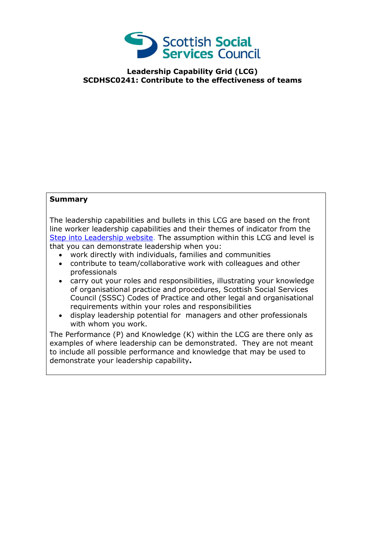

## **Leadership Capability Grid (LCG) SCDHSC0241: Contribute to the effectiveness of teams**

## **Summary**

The leadership capabilities and bullets in this LCG are based on the front line worker leadership capabilities and their themes of indicator from the [Step into Leadership website.](http://www.stepintoleadership.info/) The assumption within this LCG and level is that you can demonstrate leadership when you:

- work directly with individuals, families and communities
- contribute to team/collaborative work with colleagues and other professionals
- carry out your roles and responsibilities, illustrating your knowledge of organisational practice and procedures, Scottish Social Services Council (SSSC) Codes of Practice and other legal and organisational requirements within your roles and responsibilities
- display leadership potential for managers and other professionals with whom you work.

The Performance (P) and Knowledge (K) within the LCG are there only as examples of where leadership can be demonstrated. They are not meant to include all possible performance and knowledge that may be used to demonstrate your leadership capability**.**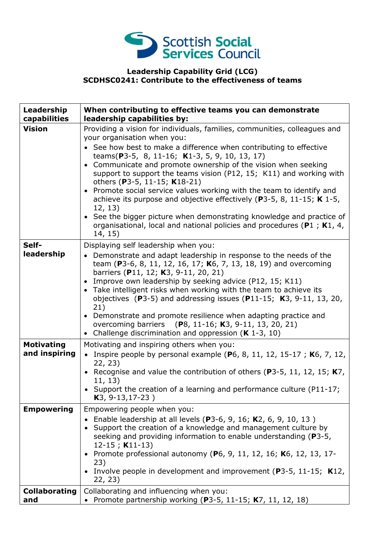

## **Leadership Capability Grid (LCG) SCDHSC0241: Contribute to the effectiveness of teams**

| Leadership<br>capabilities         | When contributing to effective teams you can demonstrate<br>leadership capabilities by:                                                                                                                                                                                                                                                                                                                                                                                                                                                                                                                                                                                                                                                  |
|------------------------------------|------------------------------------------------------------------------------------------------------------------------------------------------------------------------------------------------------------------------------------------------------------------------------------------------------------------------------------------------------------------------------------------------------------------------------------------------------------------------------------------------------------------------------------------------------------------------------------------------------------------------------------------------------------------------------------------------------------------------------------------|
| <b>Vision</b>                      | Providing a vision for individuals, families, communities, colleagues and<br>your organisation when you:<br>• See how best to make a difference when contributing to effective<br>teams(P3-5, 8, 11-16; K1-3, 5, 9, 10, 13, 17)<br>• Communicate and promote ownership of the vision when seeking<br>support to support the teams vision (P12, 15; K11) and working with<br>others (P3-5, 11-15; K18-21)<br>• Promote social service values working with the team to identify and<br>achieve its purpose and objective effectively ( $P3-5$ , 8, 11-15; K 1-5,<br>12, 13)<br>• See the bigger picture when demonstrating knowledge and practice of<br>organisational, local and national policies and procedures (P1 ; K1, 4,<br>14, 15) |
| Self-<br>leadership                | Displaying self leadership when you:<br>• Demonstrate and adapt leadership in response to the needs of the<br>team (P3-6, 8, 11, 12, 16, 17; K6, 7, 13, 18, 19) and overcoming<br>barriers (P11, 12; K3, 9-11, 20, 21)<br>• Improve own leadership by seeking advice (P12, 15; K11)<br>• Take intelligent risks when working with the team to achieve its<br>objectives (P3-5) and addressing issues (P11-15; $K3$ , 9-11, 13, 20,<br>21)<br>• Demonstrate and promote resilience when adapting practice and<br>overcoming barriers (P8, 11-16; K3, 9-11, 13, 20, 21)<br>• Challenge discrimination and oppression ( $K$ 1-3, 10)                                                                                                        |
| <b>Motivating</b><br>and inspiring | Motivating and inspiring others when you:<br>• Inspire people by personal example (P6, 8, 11, 12, 15-17; K6, 7, 12,<br>22, 23)<br>• Recognise and value the contribution of others (P3-5, 11, 12, 15; $K7$ ,<br>11, 13)<br>• Support the creation of a learning and performance culture (P11-17;<br>K3, 9-13, 17-23)                                                                                                                                                                                                                                                                                                                                                                                                                     |
| <b>Empowering</b>                  | Empowering people when you:<br>Enable leadership at all levels (P3-6, 9, 16; K2, 6, 9, 10, 13)<br>• Support the creation of a knowledge and management culture by<br>seeking and providing information to enable understanding (P3-5,<br>$12-15$ ; K11-13)<br>Promote professional autonomy (P6, 9, 11, 12, 16; K6, 12, 13, 17-<br>23)<br>• Involve people in development and improvement ( $P3-5$ , 11-15; K12,<br>22, 23)                                                                                                                                                                                                                                                                                                              |
| <b>Collaborating</b><br>and        | Collaborating and influencing when you:<br>• Promote partnership working (P3-5, 11-15; K7, 11, 12, 18)                                                                                                                                                                                                                                                                                                                                                                                                                                                                                                                                                                                                                                   |